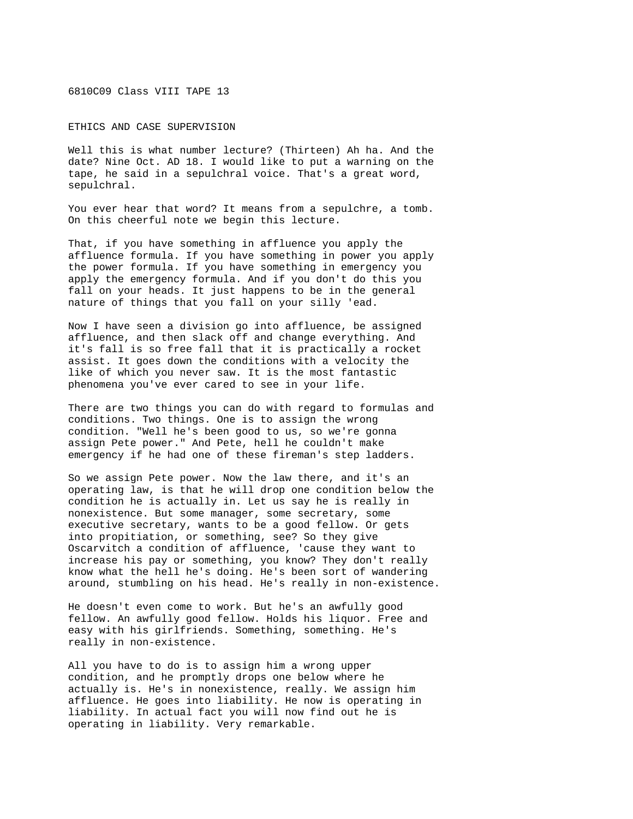6810C09 Class VIII TAPE 13

ETHICS AND CASE SUPERVISION

Well this is what number lecture? (Thirteen) Ah ha. And the date? Nine Oct. AD 18. I would like to put a warning on the tape, he said in a sepulchral voice. That's a great word, sepulchral.

You ever hear that word? It means from a sepulchre, a tomb. On this cheerful note we begin this lecture.

That, if you have something in affluence you apply the affluence formula. If you have something in power you apply the power formula. If you have something in emergency you apply the emergency formula. And if you don't do this you fall on your heads. It just happens to be in the general nature of things that you fall on your silly 'ead.

Now I have seen a division go into affluence, be assigned affluence, and then slack off and change everything. And it's fall is so free fall that it is practically a rocket assist. It goes down the conditions with a velocity the like of which you never saw. It is the most fantastic phenomena you've ever cared to see in your life.

There are two things you can do with regard to formulas and conditions. Two things. One is to assign the wrong condition. "Well he's been good to us, so we're gonna assign Pete power." And Pete, hell he couldn't make emergency if he had one of these fireman's step ladders.

So we assign Pete power. Now the law there, and it's an operating law, is that he will drop one condition below the condition he is actually in. Let us say he is really in nonexistence. But some manager, some secretary, some executive secretary, wants to be a good fellow. Or gets into propitiation, or something, see? So they give Oscarvitch a condition of affluence, 'cause they want to increase his pay or something, you know? They don't really know what the hell he's doing. He's been sort of wandering around, stumbling on his head. He's really in non-existence.

He doesn't even come to work. But he's an awfully good fellow. An awfully good fellow. Holds his liquor. Free and easy with his girlfriends. Something, something. He's really in non-existence.

All you have to do is to assign him a wrong upper condition, and he promptly drops one below where he actually is. He's in nonexistence, really. We assign him affluence. He goes into liability. He now is operating in liability. In actual fact you will now find out he is operating in liability. Very remarkable.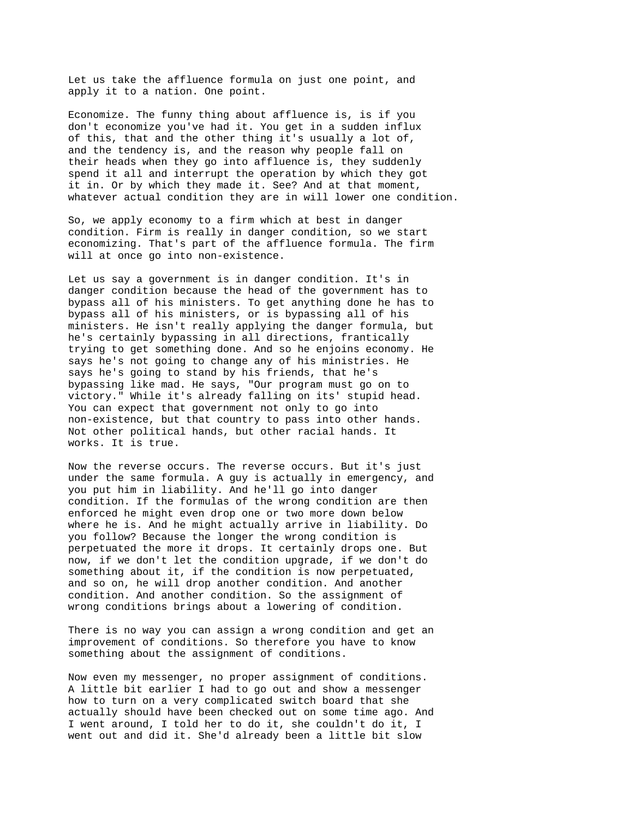Let us take the affluence formula on just one point, and apply it to a nation. One point.

Economize. The funny thing about affluence is, is if you don't economize you've had it. You get in a sudden influx of this, that and the other thing it's usually a lot of, and the tendency is, and the reason why people fall on their heads when they go into affluence is, they suddenly spend it all and interrupt the operation by which they got it in. Or by which they made it. See? And at that moment, whatever actual condition they are in will lower one condition.

So, we apply economy to a firm which at best in danger condition. Firm is really in danger condition, so we start economizing. That's part of the affluence formula. The firm will at once go into non-existence.

Let us say a government is in danger condition. It's in danger condition because the head of the government has to bypass all of his ministers. To get anything done he has to bypass all of his ministers, or is bypassing all of his ministers. He isn't really applying the danger formula, but he's certainly bypassing in all directions, frantically trying to get something done. And so he enjoins economy. He says he's not going to change any of his ministries. He says he's going to stand by his friends, that he's bypassing like mad. He says, "Our program must go on to victory." While it's already falling on its' stupid head. You can expect that government not only to go into non-existence, but that country to pass into other hands. Not other political hands, but other racial hands. It works. It is true.

Now the reverse occurs. The reverse occurs. But it's just under the same formula. A guy is actually in emergency, and you put him in liability. And he'll go into danger condition. If the formulas of the wrong condition are then enforced he might even drop one or two more down below where he is. And he might actually arrive in liability. Do you follow? Because the longer the wrong condition is perpetuated the more it drops. It certainly drops one. But now, if we don't let the condition upgrade, if we don't do something about it, if the condition is now perpetuated, and so on, he will drop another condition. And another condition. And another condition. So the assignment of wrong conditions brings about a lowering of condition.

There is no way you can assign a wrong condition and get an improvement of conditions. So therefore you have to know something about the assignment of conditions.

Now even my messenger, no proper assignment of conditions. A little bit earlier I had to go out and show a messenger how to turn on a very complicated switch board that she actually should have been checked out on some time ago. And I went around, I told her to do it, she couldn't do it, I went out and did it. She'd already been a little bit slow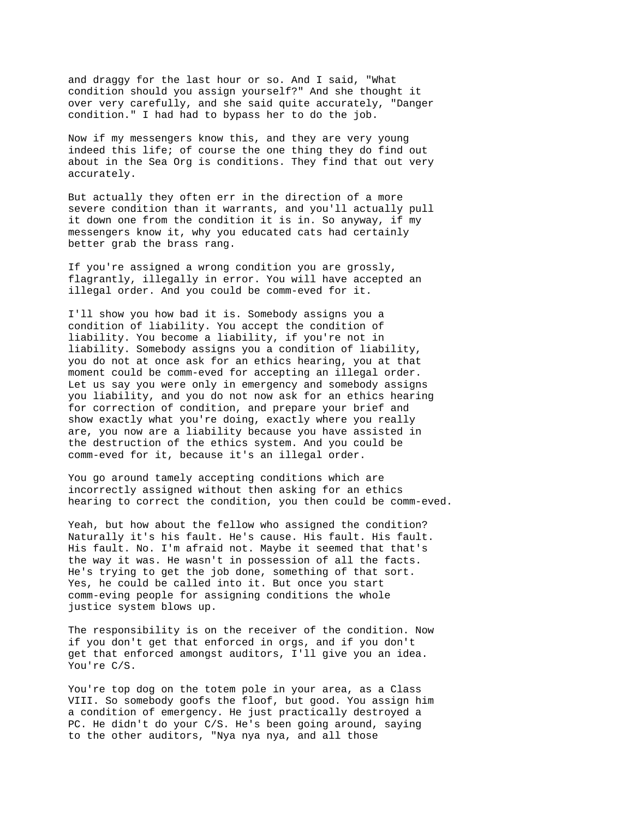and draggy for the last hour or so. And I said, "What condition should you assign yourself?" And she thought it over very carefully, and she said quite accurately, "Danger condition." I had had to bypass her to do the job.

Now if my messengers know this, and they are very young indeed this life; of course the one thing they do find out about in the Sea Org is conditions. They find that out very accurately.

But actually they often err in the direction of a more severe condition than it warrants, and you'll actually pull it down one from the condition it is in. So anyway, if my messengers know it, why you educated cats had certainly better grab the brass rang.

If you're assigned a wrong condition you are grossly, flagrantly, illegally in error. You will have accepted an illegal order. And you could be comm-eved for it.

I'll show you how bad it is. Somebody assigns you a condition of liability. You accept the condition of liability. You become a liability, if you're not in liability. Somebody assigns you a condition of liability, you do not at once ask for an ethics hearing, you at that moment could be comm-eved for accepting an illegal order. Let us say you were only in emergency and somebody assigns you liability, and you do not now ask for an ethics hearing for correction of condition, and prepare your brief and show exactly what you're doing, exactly where you really are, you now are a liability because you have assisted in the destruction of the ethics system. And you could be comm-eved for it, because it's an illegal order.

You go around tamely accepting conditions which are incorrectly assigned without then asking for an ethics hearing to correct the condition, you then could be comm-eved.

Yeah, but how about the fellow who assigned the condition? Naturally it's his fault. He's cause. His fault. His fault. His fault. No. I'm afraid not. Maybe it seemed that that's the way it was. He wasn't in possession of all the facts. He's trying to get the job done, something of that sort. Yes, he could be called into it. But once you start comm-eving people for assigning conditions the whole justice system blows up.

The responsibility is on the receiver of the condition. Now if you don't get that enforced in orgs, and if you don't get that enforced amongst auditors, I'll give you an idea. You're C/S.

You're top dog on the totem pole in your area, as a Class VIII. So somebody goofs the floof, but good. You assign him a condition of emergency. He just practically destroyed a PC. He didn't do your C/S. He's been going around, saying to the other auditors, "Nya nya nya, and all those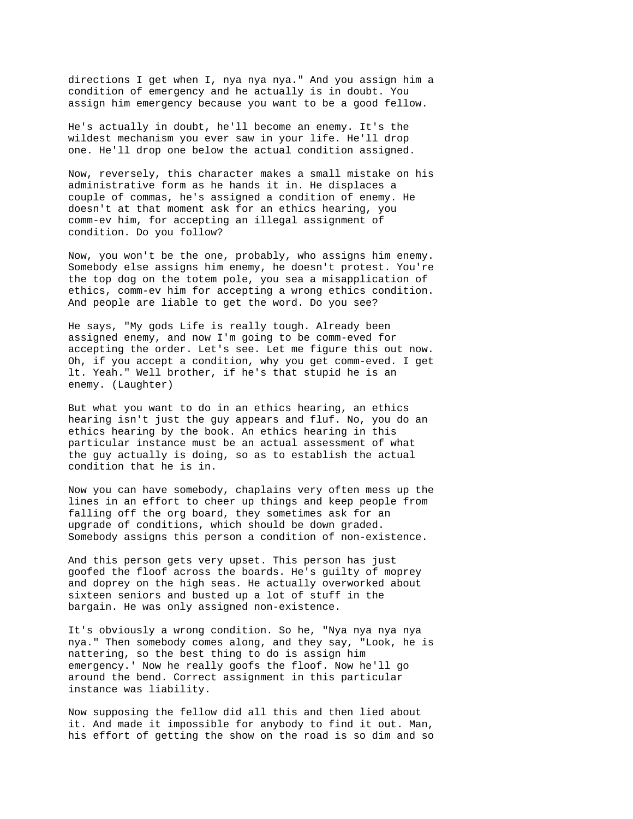directions I get when I, nya nya nya." And you assign him a condition of emergency and he actually is in doubt. You assign him emergency because you want to be a good fellow.

He's actually in doubt, he'll become an enemy. It's the wildest mechanism you ever saw in your life. He'll drop one. He'll drop one below the actual condition assigned.

Now, reversely, this character makes a small mistake on his administrative form as he hands it in. He displaces a couple of commas, he's assigned a condition of enemy. He doesn't at that moment ask for an ethics hearing, you comm-ev him, for accepting an illegal assignment of condition. Do you follow?

Now, you won't be the one, probably, who assigns him enemy. Somebody else assigns him enemy, he doesn't protest. You're the top dog on the totem pole, you sea a misapplication of ethics, comm-ev him for accepting a wrong ethics condition. And people are liable to get the word. Do you see?

He says, "My gods Life is really tough. Already been assigned enemy, and now I'm going to be comm-eved for accepting the order. Let's see. Let me figure this out now. Oh, if you accept a condition, why you get comm-eved. I get lt. Yeah." Well brother, if he's that stupid he is an enemy. (Laughter)

But what you want to do in an ethics hearing, an ethics hearing isn't just the guy appears and fluf. No, you do an ethics hearing by the book. An ethics hearing in this particular instance must be an actual assessment of what the guy actually is doing, so as to establish the actual condition that he is in.

Now you can have somebody, chaplains very often mess up the lines in an effort to cheer up things and keep people from falling off the org board, they sometimes ask for an upgrade of conditions, which should be down graded. Somebody assigns this person a condition of non-existence.

And this person gets very upset. This person has just goofed the floof across the boards. He's guilty of moprey and doprey on the high seas. He actually overworked about sixteen seniors and busted up a lot of stuff in the bargain. He was only assigned non-existence.

It's obviously a wrong condition. So he, "Nya nya nya nya nya." Then somebody comes along, and they say, "Look, he is nattering, so the best thing to do is assign him emergency.' Now he really goofs the floof. Now he'll go around the bend. Correct assignment in this particular instance was liability.

Now supposing the fellow did all this and then lied about it. And made it impossible for anybody to find it out. Man, his effort of getting the show on the road is so dim and so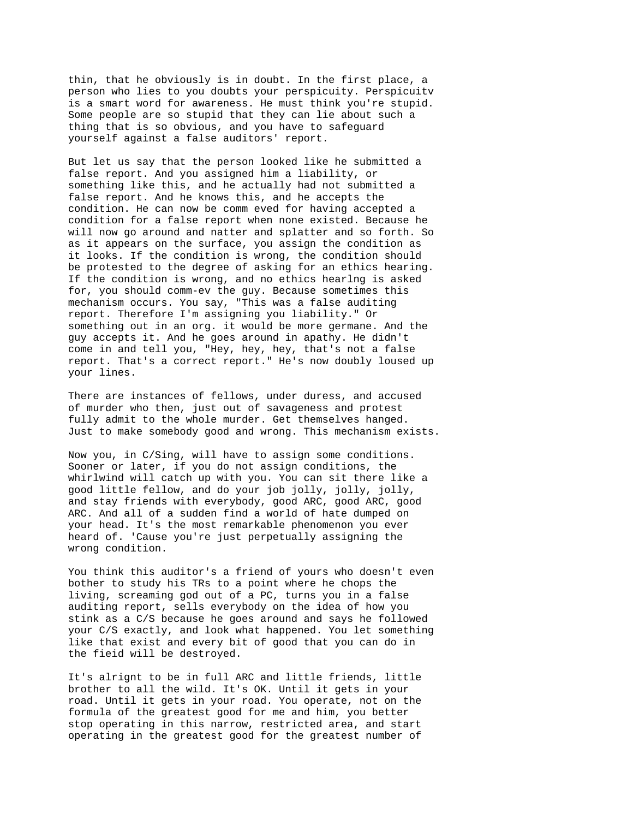thin, that he obviously is in doubt. In the first place, a person who lies to you doubts your perspicuity. Perspicuitv is a smart word for awareness. He must think you're stupid. Some people are so stupid that they can lie about such a thing that is so obvious, and you have to safeguard yourself against a false auditors' report.

But let us say that the person looked like he submitted a false report. And you assigned him a liability, or something like this, and he actually had not submitted a false report. And he knows this, and he accepts the condition. He can now be comm eved for having accepted a condition for a false report when none existed. Because he will now go around and natter and splatter and so forth. So as it appears on the surface, you assign the condition as it looks. If the condition is wrong, the condition should be protested to the degree of asking for an ethics hearing. If the condition is wrong, and no ethics hearlng is asked for, you should comm-ev the guy. Because sometimes this mechanism occurs. You say, "This was a false auditing report. Therefore I'm assigning you liability." Or something out in an org. it would be more germane. And the guy accepts it. And he goes around in apathy. He didn't come in and tell you, "Hey, hey, hey, that's not a false report. That's a correct report." He's now doubly loused up your lines.

There are instances of fellows, under duress, and accused of murder who then, just out of savageness and protest fully admit to the whole murder. Get themselves hanged. Just to make somebody good and wrong. This mechanism exists.

Now you, in C/Sing, will have to assign some conditions. Sooner or later, if you do not assign conditions, the whirlwind will catch up with you. You can sit there like a good little fellow, and do your job jolly, jolly, jolly, and stay friends with everybody, good ARC, good ARC, good ARC. And all of a sudden find a world of hate dumped on your head. It's the most remarkable phenomenon you ever heard of. 'Cause you're just perpetually assigning the wrong condition.

You think this auditor's a friend of yours who doesn't even bother to study his TRs to a point where he chops the living, screaming god out of a PC, turns you in a false auditing report, sells everybody on the idea of how you stink as a C/S because he goes around and says he followed your C/S exactly, and look what happened. You let something like that exist and every bit of good that you can do in the fieid will be destroyed.

It's alrignt to be in full ARC and little friends, little brother to all the wild. It's OK. Until it gets in your road. Until it gets in your road. You operate, not on the formula of the greatest good for me and him, you better stop operating in this narrow, restricted area, and start operating in the greatest good for the greatest number of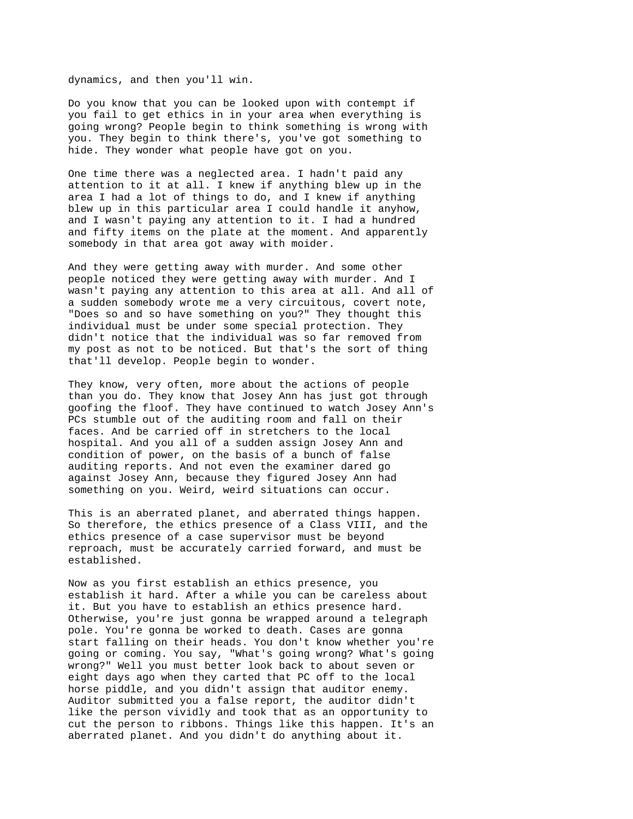dynamics, and then you'll win.

Do you know that you can be looked upon with contempt if you fail to get ethics in in your area when everything is going wrong? People begin to think something is wrong with you. They begin to think there's, you've got something to hide. They wonder what people have got on you.

One time there was a neglected area. I hadn't paid any attention to it at all. I knew if anything blew up in the area I had a lot of things to do, and I knew if anything blew up in this particular area I could handle it anyhow, and I wasn't paying any attention to it. I had a hundred and fifty items on the plate at the moment. And apparently somebody in that area got away with moider.

And they were getting away with murder. And some other people noticed they were getting away with murder. And I wasn't paying any attention to this area at all. And all of a sudden somebody wrote me a very circuitous, covert note, "Does so and so have something on you?" They thought this individual must be under some special protection. They didn't notice that the individual was so far removed from my post as not to be noticed. But that's the sort of thing that'll develop. People begin to wonder.

They know, very often, more about the actions of people than you do. They know that Josey Ann has just got through goofing the floof. They have continued to watch Josey Ann's PCs stumble out of the auditing room and fall on their faces. And be carried off in stretchers to the local hospital. And you all of a sudden assign Josey Ann and condition of power, on the basis of a bunch of false auditing reports. And not even the examiner dared go against Josey Ann, because they figured Josey Ann had something on you. Weird, weird situations can occur.

This is an aberrated planet, and aberrated things happen. So therefore, the ethics presence of a Class VIII, and the ethics presence of a case supervisor must be beyond reproach, must be accurately carried forward, and must be established.

Now as you first establish an ethics presence, you establish it hard. After a while you can be careless about it. But you have to establish an ethics presence hard. Otherwise, you're just gonna be wrapped around a telegraph pole. You're gonna be worked to death. Cases are gonna start falling on their heads. You don't know whether you're going or coming. You say, "What's going wrong? What's going wrong?" Well you must better look back to about seven or eight days ago when they carted that PC off to the local horse piddle, and you didn't assign that auditor enemy. Auditor submitted you a false report, the auditor didn't like the person vividly and took that as an opportunity to cut the person to ribbons. Things like this happen. It's an aberrated planet. And you didn't do anything about it.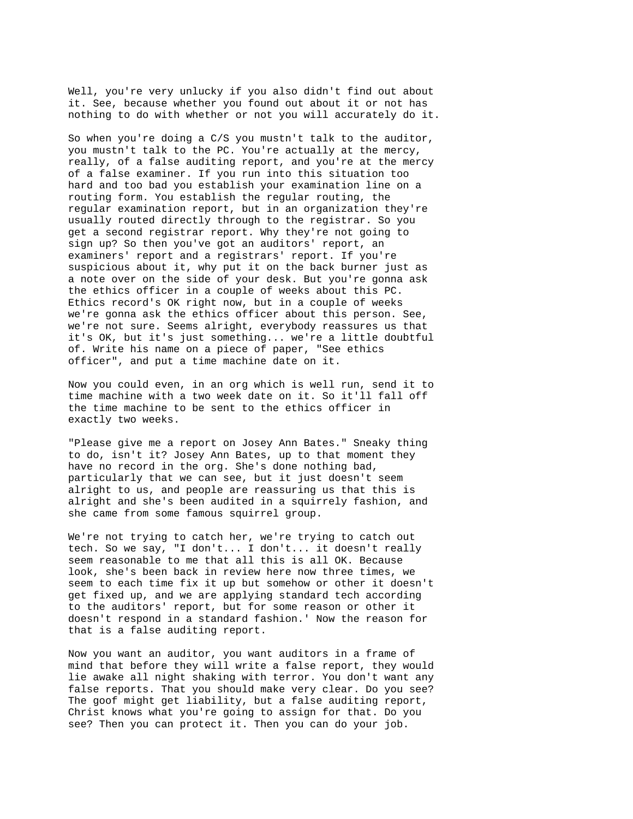Well, you're very unlucky if you also didn't find out about it. See, because whether you found out about it or not has nothing to do with whether or not you will accurately do it.

So when you're doing a C/S you mustn't talk to the auditor, you mustn't talk to the PC. You're actually at the mercy, really, of a false auditing report, and you're at the mercy of a false examiner. If you run into this situation too hard and too bad you establish your examination line on a routing form. You establish the regular routing, the regular examination report, but in an organization they're usually routed directly through to the registrar. So you get a second registrar report. Why they're not going to sign up? So then you've got an auditors' report, an examiners' report and a registrars' report. If you're suspicious about it, why put it on the back burner just as a note over on the side of your desk. But you're gonna ask the ethics officer in a couple of weeks about this PC. Ethics record's OK right now, but in a couple of weeks we're gonna ask the ethics officer about this person. See, we're not sure. Seems alright, everybody reassures us that it's OK, but it's just something... we're a little doubtful of. Write his name on a piece of paper, "See ethics officer", and put a time machine date on it.

Now you could even, in an org which is well run, send it to time machine with a two week date on it. So it'll fall off the time machine to be sent to the ethics officer in exactly two weeks.

"Please give me a report on Josey Ann Bates." Sneaky thing to do, isn't it? Josey Ann Bates, up to that moment they have no record in the org. She's done nothing bad, particularly that we can see, but it just doesn't seem alright to us, and people are reassuring us that this is alright and she's been audited in a squirrely fashion, and she came from some famous squirrel group.

We're not trying to catch her, we're trying to catch out tech. So we say, "I don't... I don't... it doesn't really seem reasonable to me that all this is all OK. Because look, she's been back in review here now three times, we seem to each time fix it up but somehow or other it doesn't get fixed up, and we are applying standard tech according to the auditors' report, but for some reason or other it doesn't respond in a standard fashion.' Now the reason for that is a false auditing report.

Now you want an auditor, you want auditors in a frame of mind that before they will write a false report, they would lie awake all night shaking with terror. You don't want any false reports. That you should make very clear. Do you see? The goof might get liability, but a false auditing report, Christ knows what you're going to assign for that. Do you see? Then you can protect it. Then you can do your job.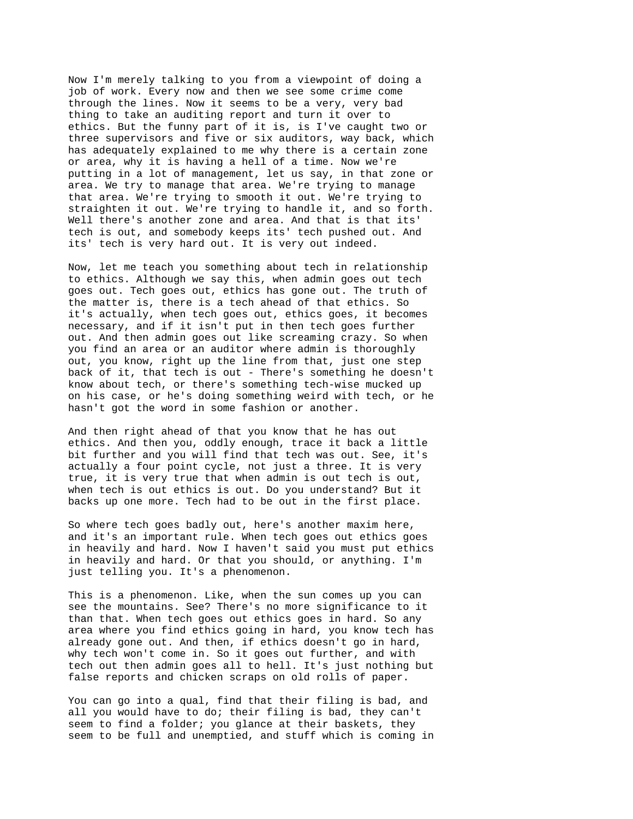Now I'm merely talking to you from a viewpoint of doing a job of work. Every now and then we see some crime come through the lines. Now it seems to be a very, very bad thing to take an auditing report and turn it over to ethics. But the funny part of it is, is I've caught two or three supervisors and five or six auditors, way back, which has adequately explained to me why there is a certain zone or area, why it is having a hell of a time. Now we're putting in a lot of management, let us say, in that zone or area. We try to manage that area. We're trying to manage that area. We're trying to smooth it out. We're trying to straighten it out. We're trying to handle it, and so forth. Well there's another zone and area. And that is that its' tech is out, and somebody keeps its' tech pushed out. And its' tech is very hard out. It is very out indeed.

Now, let me teach you something about tech in relationship to ethics. Although we say this, when admin goes out tech goes out. Tech goes out, ethics has gone out. The truth of the matter is, there is a tech ahead of that ethics. So it's actually, when tech goes out, ethics goes, it becomes necessary, and if it isn't put in then tech goes further out. And then admin goes out like screaming crazy. So when you find an area or an auditor where admin is thoroughly out, you know, right up the line from that, just one step back of it, that tech is out - There's something he doesn't know about tech, or there's something tech-wise mucked up on his case, or he's doing something weird with tech, or he hasn't got the word in some fashion or another.

And then right ahead of that you know that he has out ethics. And then you, oddly enough, trace it back a little bit further and you will find that tech was out. See, it's actually a four point cycle, not just a three. It is very true, it is very true that when admin is out tech is out, when tech is out ethics is out. Do you understand? But it backs up one more. Tech had to be out in the first place.

So where tech goes badly out, here's another maxim here, and it's an important rule. When tech goes out ethics goes in heavily and hard. Now I haven't said you must put ethics in heavily and hard. Or that you should, or anything. I'm just telling you. It's a phenomenon.

This is a phenomenon. Like, when the sun comes up you can see the mountains. See? There's no more significance to it than that. When tech goes out ethics goes in hard. So any area where you find ethics going in hard, you know tech has already gone out. And then, if ethics doesn't go in hard, why tech won't come in. So it goes out further, and with tech out then admin goes all to hell. It's just nothing but false reports and chicken scraps on old rolls of paper.

You can go into a qual, find that their filing is bad, and all you would have to do; their filing is bad, they can't seem to find a folder; you glance at their baskets, they seem to be full and unemptied, and stuff which is coming in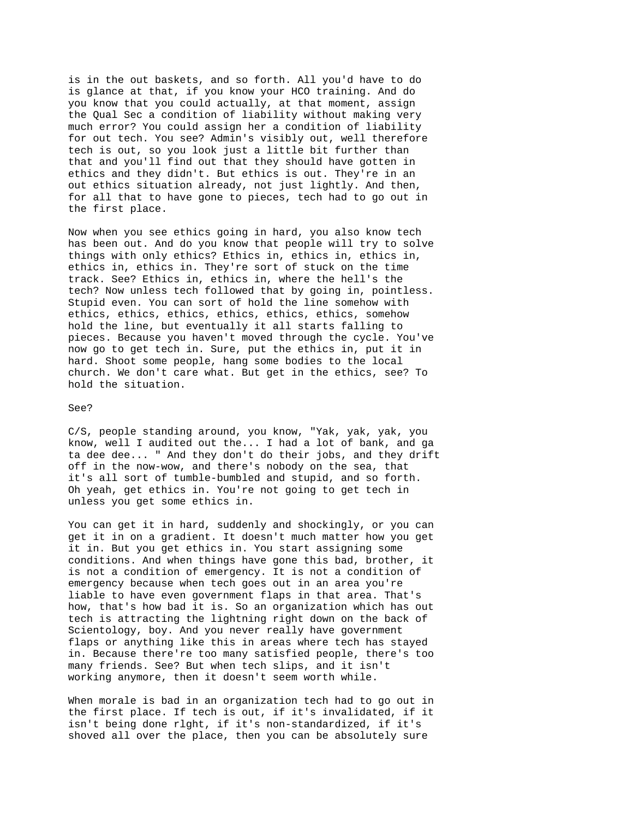is in the out baskets, and so forth. All you'd have to do is glance at that, if you know your HCO training. And do you know that you could actually, at that moment, assign the Qual Sec a condition of liability without making very much error? You could assign her a condition of liability for out tech. You see? Admin's visibly out, well therefore tech is out, so you look just a little bit further than that and you'll find out that they should have gotten in ethics and they didn't. But ethics is out. They're in an out ethics situation already, not just lightly. And then, for all that to have gone to pieces, tech had to go out in the first place.

Now when you see ethics going in hard, you also know tech has been out. And do you know that people will try to solve things with only ethics? Ethics in, ethics in, ethics in, ethics in, ethics in. They're sort of stuck on the time track. See? Ethics in, ethics in, where the hell's the tech? Now unless tech followed that by going in, pointless. Stupid even. You can sort of hold the line somehow with ethics, ethics, ethics, ethics, ethics, ethics, somehow hold the line, but eventually it all starts falling to pieces. Because you haven't moved through the cycle. You've now go to get tech in. Sure, put the ethics in, put it in hard. Shoot some people, hang some bodies to the local church. We don't care what. But get in the ethics, see? To hold the situation.

## See?

C/S, people standing around, you know, "Yak, yak, yak, you know, well I audited out the... I had a lot of bank, and ga ta dee dee... " And they don't do their jobs, and they drift off in the now-wow, and there's nobody on the sea, that it's all sort of tumble-bumbled and stupid, and so forth. Oh yeah, get ethics in. You're not going to get tech in unless you get some ethics in.

You can get it in hard, suddenly and shockingly, or you can get it in on a gradient. It doesn't much matter how you get it in. But you get ethics in. You start assigning some conditions. And when things have gone this bad, brother, it is not a condition of emergency. It is not a condition of emergency because when tech goes out in an area you're liable to have even government flaps in that area. That's how, that's how bad it is. So an organization which has out tech is attracting the lightning right down on the back of Scientology, boy. And you never really have government flaps or anything like this in areas where tech has stayed in. Because there're too many satisfied people, there's too many friends. See? But when tech slips, and it isn't working anymore, then it doesn't seem worth while.

When morale is bad in an organization tech had to go out in the first place. If tech is out, if it's invalidated, if it isn't being done rlght, if it's non-standardized, if it's shoved all over the place, then you can be absolutely sure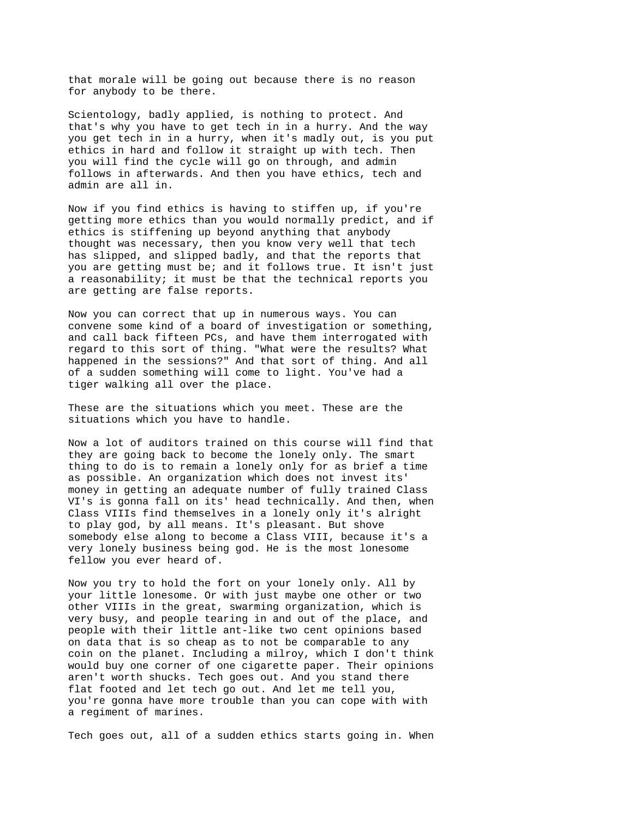that morale will be going out because there is no reason for anybody to be there.

Scientology, badly applied, is nothing to protect. And that's why you have to get tech in in a hurry. And the way you get tech in in a hurry, when it's madly out, is you put ethics in hard and follow it straight up with tech. Then you will find the cycle will go on through, and admin follows in afterwards. And then you have ethics, tech and admin are all in.

Now if you find ethics is having to stiffen up, if you're getting more ethics than you would normally predict, and if ethics is stiffening up beyond anything that anybody thought was necessary, then you know very well that tech has slipped, and slipped badly, and that the reports that you are getting must be; and it follows true. It isn't just a reasonability; it must be that the technical reports you are getting are false reports.

Now you can correct that up in numerous ways. You can convene some kind of a board of investigation or something, and call back fifteen PCs, and have them interrogated with regard to this sort of thing. "What were the results? What happened in the sessions?" And that sort of thing. And all of a sudden something will come to light. You've had a tiger walking all over the place.

These are the situations which you meet. These are the situations which you have to handle.

Now a lot of auditors trained on this course will find that they are going back to become the lonely only. The smart thing to do is to remain a lonely only for as brief a time as possible. An organization which does not invest its' money in getting an adequate number of fully trained Class VI's is gonna fall on its' head technically. And then, when Class VIIIs find themselves in a lonely only it's alright to play god, by all means. It's pleasant. But shove somebody else along to become a Class VIII, because it's a very lonely business being god. He is the most lonesome fellow you ever heard of.

Now you try to hold the fort on your lonely only. All by your little lonesome. Or with just maybe one other or two other VIIIs in the great, swarming organization, which is very busy, and people tearing in and out of the place, and people with their little ant-like two cent opinions based on data that is so cheap as to not be comparable to any coin on the planet. Including a milroy, which I don't think would buy one corner of one cigarette paper. Their opinions aren't worth shucks. Tech goes out. And you stand there flat footed and let tech go out. And let me tell you, you're gonna have more trouble than you can cope with with a regiment of marines.

Tech goes out, all of a sudden ethics starts going in. When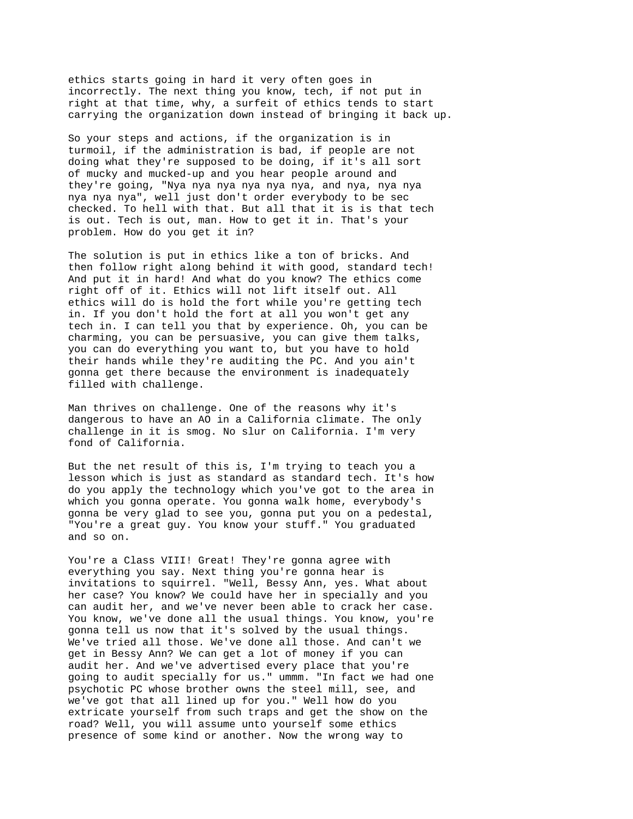ethics starts going in hard it very often goes in incorrectly. The next thing you know, tech, if not put in right at that time, why, a surfeit of ethics tends to start carrying the organization down instead of bringing it back up.

So your steps and actions, if the organization is in turmoil, if the administration is bad, if people are not doing what they're supposed to be doing, if it's all sort of mucky and mucked-up and you hear people around and they're going, "Nya nya nya nya nya nya, and nya, nya nya nya nya nya", well just don't order everybody to be sec checked. To hell with that. But all that it is is that tech is out. Tech is out, man. How to get it in. That's your problem. How do you get it in?

The solution is put in ethics like a ton of bricks. And then follow right along behind it with good, standard tech! And put it in hard! And what do you know? The ethics come right off of it. Ethics will not lift itself out. All ethics will do is hold the fort while you're getting tech in. If you don't hold the fort at all you won't get any tech in. I can tell you that by experience. Oh, you can be charming, you can be persuasive, you can give them talks, you can do everything you want to, but you have to hold their hands while they're auditing the PC. And you ain't gonna get there because the environment is inadequately filled with challenge.

Man thrives on challenge. One of the reasons why it's dangerous to have an AO in a California climate. The only challenge in it is smog. No slur on California. I'm very fond of California.

But the net result of this is, I'm trying to teach you a lesson which is just as standard as standard tech. It's how do you apply the technology which you've got to the area in which you gonna operate. You gonna walk home, everybody's gonna be very glad to see you, gonna put you on a pedestal, "You're a great guy. You know your stuff." You graduated and so on.

You're a Class VIII! Great! They're gonna agree with everything you say. Next thing you're gonna hear is invitations to squirrel. "Well, Bessy Ann, yes. What about her case? You know? We could have her in specially and you can audit her, and we've never been able to crack her case. You know, we've done all the usual things. You know, you're gonna tell us now that it's solved by the usual things. We've tried all those. We've done all those. And can't we get in Bessy Ann? We can get a lot of money if you can audit her. And we've advertised every place that you're going to audit specially for us." ummm. "In fact we had one psychotic PC whose brother owns the steel mill, see, and we've got that all lined up for you." Well how do you extricate yourself from such traps and get the show on the road? Well, you will assume unto yourself some ethics presence of some kind or another. Now the wrong way to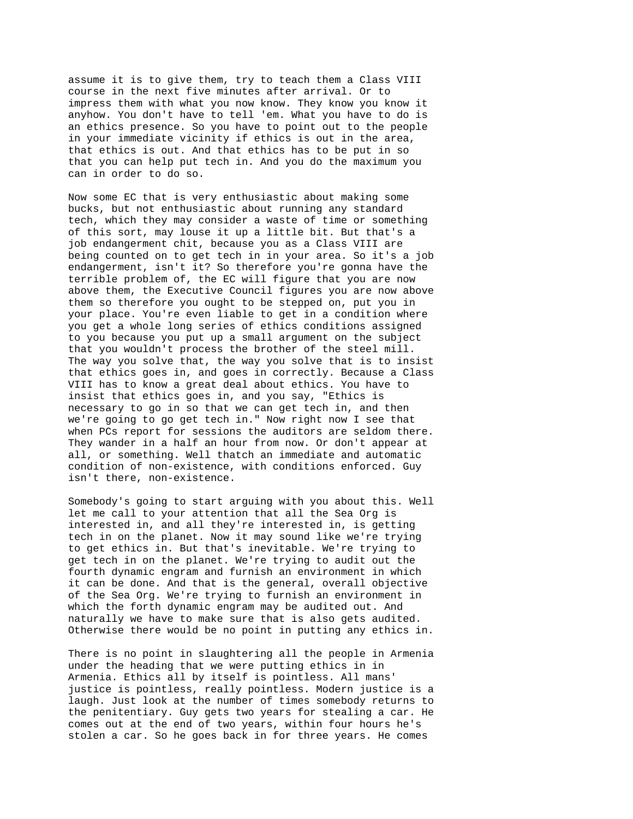assume it is to give them, try to teach them a Class VIII course in the next five minutes after arrival. Or to impress them with what you now know. They know you know it anyhow. You don't have to tell 'em. What you have to do is an ethics presence. So you have to point out to the people in your immediate vicinity if ethics is out in the area, that ethics is out. And that ethics has to be put in so that you can help put tech in. And you do the maximum you can in order to do so.

Now some EC that is very enthusiastic about making some bucks, but not enthusiastic about running any standard tech, which they may consider a waste of time or something of this sort, may louse it up a little bit. But that's a job endangerment chit, because you as a Class VIII are being counted on to get tech in in your area. So it's a job endangerment, isn't it? So therefore you're gonna have the terrible problem of, the EC will figure that you are now above them, the Executive Council figures you are now above them so therefore you ought to be stepped on, put you in your place. You're even liable to get in a condition where you get a whole long series of ethics conditions assigned to you because you put up a small argument on the subject that you wouldn't process the brother of the steel mill. The way you solve that, the way you solve that is to insist that ethics goes in, and goes in correctly. Because a Class VIII has to know a great deal about ethics. You have to insist that ethics goes in, and you say, "Ethics is necessary to go in so that we can get tech in, and then we're going to go get tech in." Now right now I see that when PCs report for sessions the auditors are seldom there. They wander in a half an hour from now. Or don't appear at all, or something. Well thatch an immediate and automatic condition of non-existence, with conditions enforced. Guy isn't there, non-existence.

Somebody's going to start arguing with you about this. Well let me call to your attention that all the Sea Org is interested in, and all they're interested in, is getting tech in on the planet. Now it may sound like we're trying to get ethics in. But that's inevitable. We're trying to get tech in on the planet. We're trying to audit out the fourth dynamic engram and furnish an environment in which it can be done. And that is the general, overall objective of the Sea Org. We're trying to furnish an environment in which the forth dynamic engram may be audited out. And naturally we have to make sure that is also gets audited. Otherwise there would be no point in putting any ethics in.

There is no point in slaughtering all the people in Armenia under the heading that we were putting ethics in in Armenia. Ethics all by itself is pointless. All mans' justice is pointless, really pointless. Modern justice is a laugh. Just look at the number of times somebody returns to the penitentiary. Guy gets two years for stealing a car. He comes out at the end of two years, within four hours he's stolen a car. So he goes back in for three years. He comes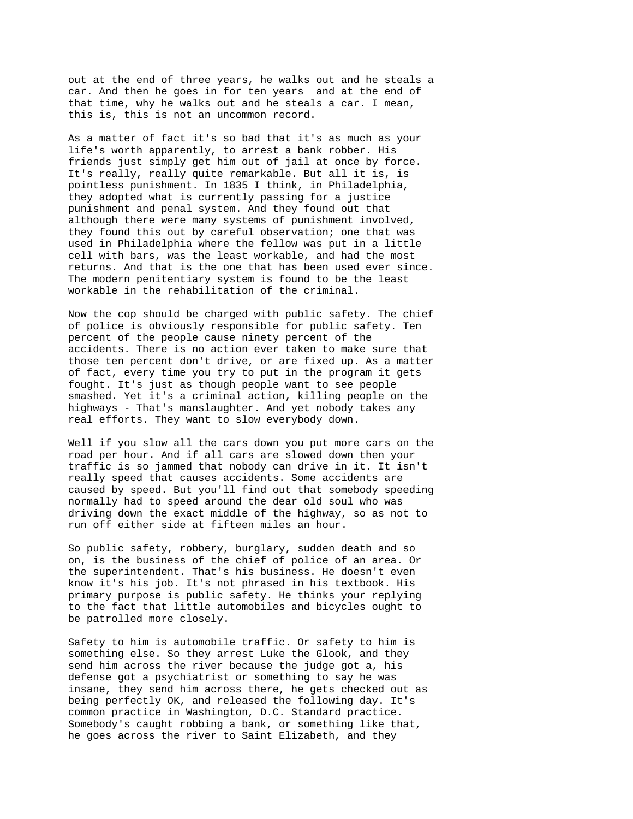out at the end of three years, he walks out and he steals a car. And then he goes in for ten years and at the end of that time, why he walks out and he steals a car. I mean, this is, this is not an uncommon record.

As a matter of fact it's so bad that it's as much as your life's worth apparently, to arrest a bank robber. His friends just simply get him out of jail at once by force. It's really, really quite remarkable. But all it is, is pointless punishment. In 1835 I think, in Philadelphia, they adopted what is currently passing for a justice punishment and penal system. And they found out that although there were many systems of punishment involved, they found this out by careful observation; one that was used in Philadelphia where the fellow was put in a little cell with bars, was the least workable, and had the most returns. And that is the one that has been used ever since. The modern penitentiary system is found to be the least workable in the rehabilitation of the criminal.

Now the cop should be charged with public safety. The chief of police is obviously responsible for public safety. Ten percent of the people cause ninety percent of the accidents. There is no action ever taken to make sure that those ten percent don't drive, or are fixed up. As a matter of fact, every time you try to put in the program it gets fought. It's just as though people want to see people smashed. Yet it's a criminal action, killing people on the highways - That's manslaughter. And yet nobody takes any real efforts. They want to slow everybody down.

Well if you slow all the cars down you put more cars on the road per hour. And if all cars are slowed down then your traffic is so jammed that nobody can drive in it. It isn't really speed that causes accidents. Some accidents are caused by speed. But you'll find out that somebody speeding normally had to speed around the dear old soul who was driving down the exact middle of the highway, so as not to run off either side at fifteen miles an hour.

So public safety, robbery, burglary, sudden death and so on, is the business of the chief of police of an area. Or the superintendent. That's his business. He doesn't even know it's his job. It's not phrased in his textbook. His primary purpose is public safety. He thinks your replying to the fact that little automobiles and bicycles ought to be patrolled more closely.

Safety to him is automobile traffic. Or safety to him is something else. So they arrest Luke the Glook, and they send him across the river because the judge got a, his defense got a psychiatrist or something to say he was insane, they send him across there, he gets checked out as being perfectly OK, and released the following day. It's common practice in Washington, D.C. Standard practice. Somebody's caught robbing a bank, or something like that, he goes across the river to Saint Elizabeth, and they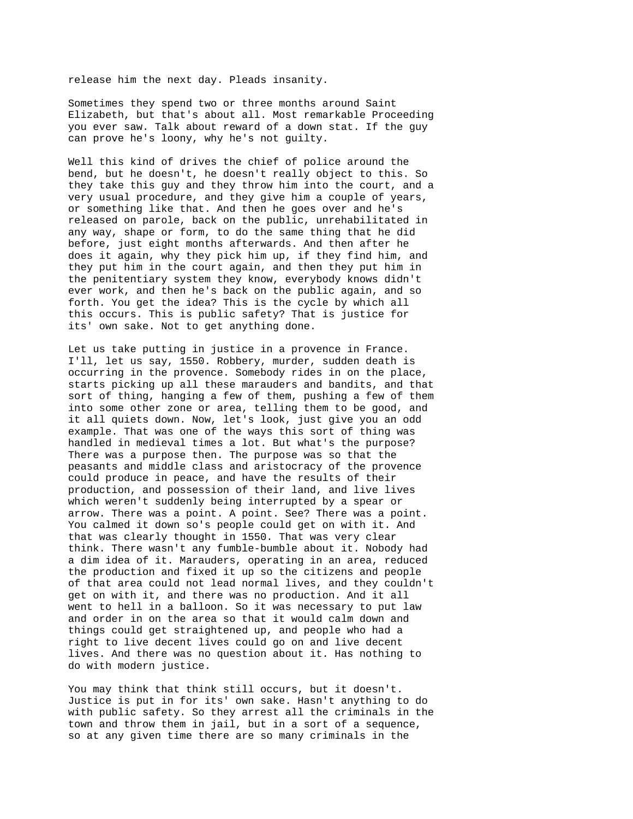release him the next day. Pleads insanity.

Sometimes they spend two or three months around Saint Elizabeth, but that's about all. Most remarkable Proceeding you ever saw. Talk about reward of a down stat. If the guy can prove he's loony, why he's not guilty.

Well this kind of drives the chief of police around the bend, but he doesn't, he doesn't really object to this. So they take this guy and they throw him into the court, and a very usual procedure, and they give him a couple of years, or something like that. And then he goes over and he's released on parole, back on the public, unrehabilitated in any way, shape or form, to do the same thing that he did before, just eight months afterwards. And then after he does it again, why they pick him up, if they find him, and they put him in the court again, and then they put him in the penitentiary system they know, everybody knows didn't ever work, and then he's back on the public again, and so forth. You get the idea? This is the cycle by which all this occurs. This is public safety? That is justice for its' own sake. Not to get anything done.

Let us take putting in justice in a provence in France. I'll, let us say, 1550. Robbery, murder, sudden death is occurring in the provence. Somebody rides in on the place, starts picking up all these marauders and bandits, and that sort of thing, hanging a few of them, pushing a few of them into some other zone or area, telling them to be good, and it all quiets down. Now, let's look, just give you an odd example. That was one of the ways this sort of thing was handled in medieval times a lot. But what's the purpose? There was a purpose then. The purpose was so that the peasants and middle class and aristocracy of the provence could produce in peace, and have the results of their production, and possession of their land, and live lives which weren't suddenly being interrupted by a spear or arrow. There was a point. A point. See? There was a point. You calmed it down so's people could get on with it. And that was clearly thought in 1550. That was very clear think. There wasn't any fumble-bumble about it. Nobody had a dim idea of it. Marauders, operating in an area, reduced the production and fixed it up so the citizens and people of that area could not lead normal lives, and they couldn't get on with it, and there was no production. And it all went to hell in a balloon. So it was necessary to put law and order in on the area so that it would calm down and things could get straightened up, and people who had a right to live decent lives could go on and live decent lives. And there was no question about it. Has nothing to do with modern justice.

You may think that think still occurs, but it doesn't. Justice is put in for its' own sake. Hasn't anything to do with public safety. So they arrest all the criminals in the town and throw them in jail, but in a sort of a sequence, so at any given time there are so many criminals in the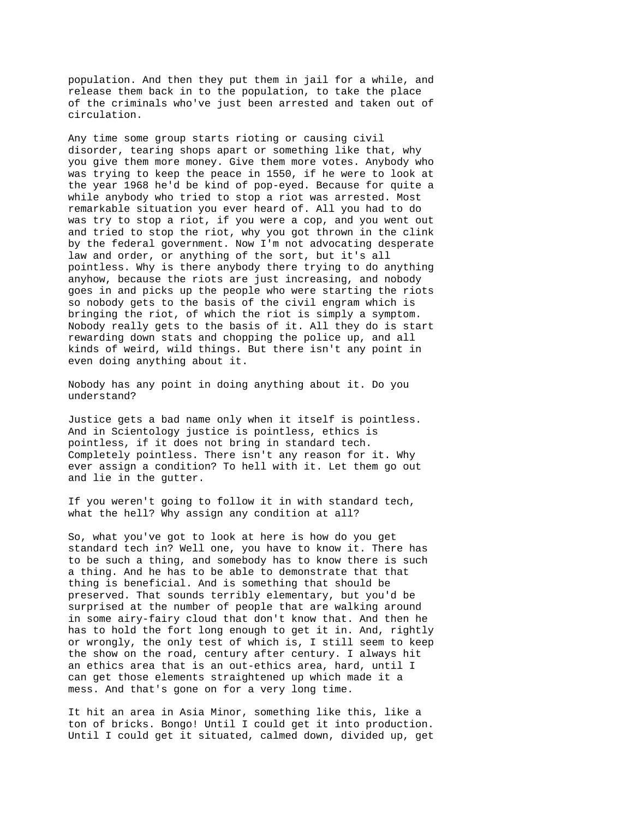population. And then they put them in jail for a while, and release them back in to the population, to take the place of the criminals who've just been arrested and taken out of circulation.

Any time some group starts rioting or causing civil disorder, tearing shops apart or something like that, why you give them more money. Give them more votes. Anybody who was trying to keep the peace in 1550, if he were to look at the year 1968 he'd be kind of pop-eyed. Because for quite a while anybody who tried to stop a riot was arrested. Most remarkable situation you ever heard of. All you had to do was try to stop a riot, if you were a cop, and you went out and tried to stop the riot, why you got thrown in the clink by the federal government. Now I'm not advocating desperate law and order, or anything of the sort, but it's all pointless. Why is there anybody there trying to do anything anyhow, because the riots are just increasing, and nobody goes in and picks up the people who were starting the riots so nobody gets to the basis of the civil engram which is bringing the riot, of which the riot is simply a symptom. Nobody really gets to the basis of it. All they do is start rewarding down stats and chopping the police up, and all kinds of weird, wild things. But there isn't any point in even doing anything about it.

Nobody has any point in doing anything about it. Do you understand?

Justice gets a bad name only when it itself is pointless. And in Scientology justice is pointless, ethics is pointless, if it does not bring in standard tech. Completely pointless. There isn't any reason for it. Why ever assign a condition? To hell with it. Let them go out and lie in the gutter.

If you weren't going to follow it in with standard tech, what the hell? Why assign any condition at all?

So, what you've got to look at here is how do you get standard tech in? Well one, you have to know it. There has to be such a thing, and somebody has to know there is such a thing. And he has to be able to demonstrate that that thing is beneficial. And is something that should be preserved. That sounds terribly elementary, but you'd be surprised at the number of people that are walking around in some airy-fairy cloud that don't know that. And then he has to hold the fort long enough to get it in. And, rightly or wrongly, the only test of which is, I still seem to keep the show on the road, century after century. I always hit an ethics area that is an out-ethics area, hard, until I can get those elements straightened up which made it a mess. And that's gone on for a very long time.

It hit an area in Asia Minor, something like this, like a ton of bricks. Bongo! Until I could get it into production. Until I could get it situated, calmed down, divided up, get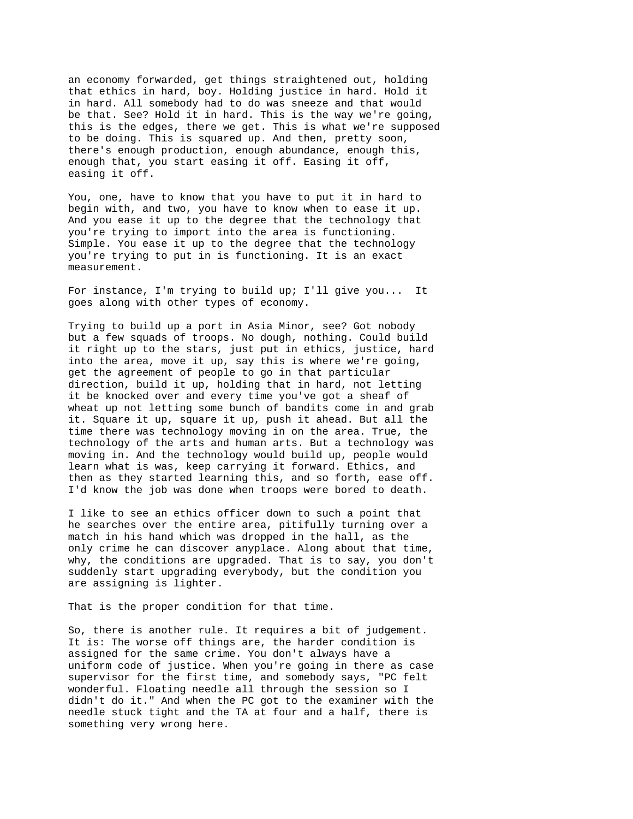an economy forwarded, get things straightened out, holding that ethics in hard, boy. Holding justice in hard. Hold it in hard. All somebody had to do was sneeze and that would be that. See? Hold it in hard. This is the way we're going, this is the edges, there we get. This is what we're supposed to be doing. This is squared up. And then, pretty soon, there's enough production, enough abundance, enough this, enough that, you start easing it off. Easing it off, easing it off.

You, one, have to know that you have to put it in hard to begin with, and two, you have to know when to ease it up. And you ease it up to the degree that the technology that you're trying to import into the area is functioning. Simple. You ease it up to the degree that the technology you're trying to put in is functioning. It is an exact measurement.

For instance, I'm trying to build up; I'll give you... It goes along with other types of economy.

Trying to build up a port in Asia Minor, see? Got nobody but a few squads of troops. No dough, nothing. Could build it right up to the stars, just put in ethics, justice, hard into the area, move it up, say this is where we're going, get the agreement of people to go in that particular direction, build it up, holding that in hard, not letting it be knocked over and every time you've got a sheaf of wheat up not letting some bunch of bandits come in and grab it. Square it up, square it up, push it ahead. But all the time there was technology moving in on the area. True, the technology of the arts and human arts. But a technology was moving in. And the technology would build up, people would learn what is was, keep carrying it forward. Ethics, and then as they started learning this, and so forth, ease off. I'd know the job was done when troops were bored to death.

I like to see an ethics officer down to such a point that he searches over the entire area, pitifully turning over a match in his hand which was dropped in the hall, as the only crime he can discover anyplace. Along about that time, why, the conditions are upgraded. That is to say, you don't suddenly start upgrading everybody, but the condition you are assigning is lighter.

That is the proper condition for that time.

So, there is another rule. It requires a bit of judgement. It is: The worse off things are, the harder condition is assigned for the same crime. You don't always have a uniform code of justice. When you're going in there as case supervisor for the first time, and somebody says, "PC felt wonderful. Floating needle all through the session so I didn't do it." And when the PC got to the examiner with the needle stuck tight and the TA at four and a half, there is something very wrong here.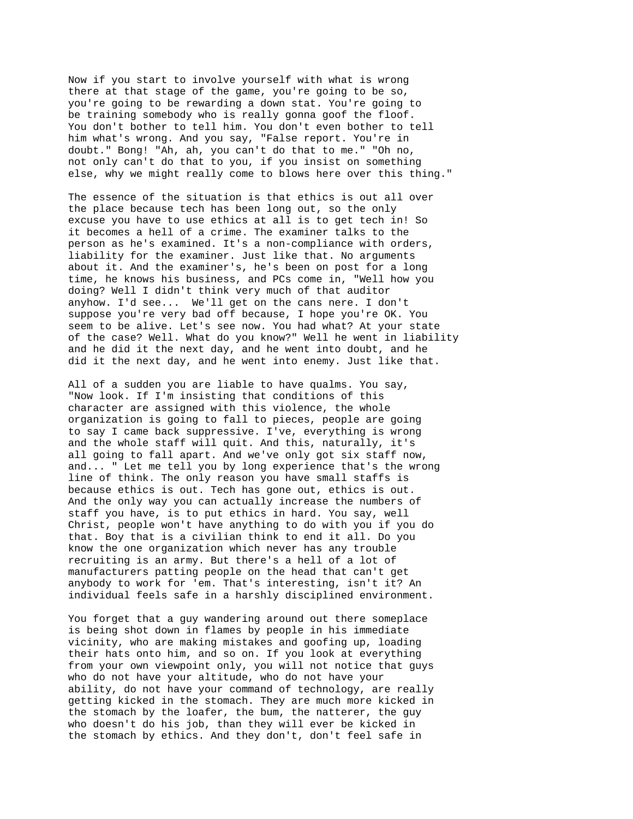Now if you start to involve yourself with what is wrong there at that stage of the game, you're going to be so, you're going to be rewarding a down stat. You're going to be training somebody who is really gonna goof the floof. You don't bother to tell him. You don't even bother to tell him what's wrong. And you say, "False report. You're in doubt." Bong! "Ah, ah, you can't do that to me." "Oh no, not only can't do that to you, if you insist on something else, why we might really come to blows here over this thing."

The essence of the situation is that ethics is out all over the place because tech has been long out, so the only excuse you have to use ethics at all is to get tech in! So it becomes a hell of a crime. The examiner talks to the person as he's examined. It's a non-compliance with orders, liability for the examiner. Just like that. No arguments about it. And the examiner's, he's been on post for a long time, he knows his business, and PCs come in, "Well how you doing? Well I didn't think very much of that auditor anyhow. I'd see... We'll get on the cans nere. I don't suppose you're very bad off because, I hope you're OK. You seem to be alive. Let's see now. You had what? At your state of the case? Well. What do you know?" Well he went in liability and he did it the next day, and he went into doubt, and he did it the next day, and he went into enemy. Just like that.

All of a sudden you are liable to have qualms. You say, "Now look. If I'm insisting that conditions of this character are assigned with this violence, the whole organization is going to fall to pieces, people are going to say I came back suppressive. I've, everything is wrong and the whole staff will quit. And this, naturally, it's all going to fall apart. And we've only got six staff now, and... " Let me tell you by long experience that's the wrong line of think. The only reason you have small staffs is because ethics is out. Tech has gone out, ethics is out. And the only way you can actually increase the numbers of staff you have, is to put ethics in hard. You say, well Christ, people won't have anything to do with you if you do that. Boy that is a civilian think to end it all. Do you know the one organization which never has any trouble recruiting is an army. But there's a hell of a lot of manufacturers patting people on the head that can't get anybody to work for 'em. That's interesting, isn't it? An individual feels safe in a harshly disciplined environment.

You forget that a guy wandering around out there someplace is being shot down in flames by people in his immediate vicinity, who are making mistakes and goofing up, loading their hats onto him, and so on. If you look at everything from your own viewpoint only, you will not notice that guys who do not have your altitude, who do not have your ability, do not have your command of technology, are really getting kicked in the stomach. They are much more kicked in the stomach by the loafer, the bum, the natterer, the guy who doesn't do his job, than they will ever be kicked in the stomach by ethics. And they don't, don't feel safe in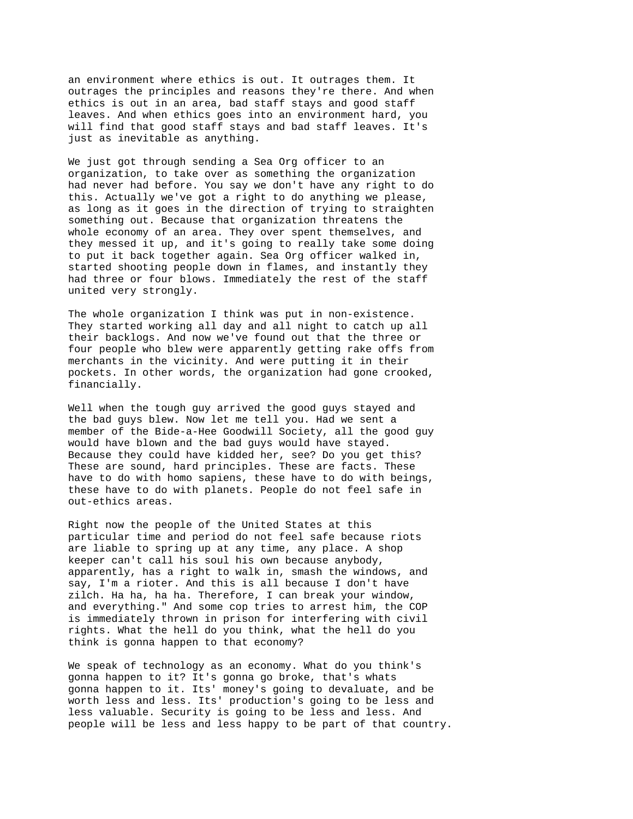an environment where ethics is out. It outrages them. It outrages the principles and reasons they're there. And when ethics is out in an area, bad staff stays and good staff leaves. And when ethics goes into an environment hard, you will find that good staff stays and bad staff leaves. It's just as inevitable as anything.

We just got through sending a Sea Org officer to an organization, to take over as something the organization had never had before. You say we don't have any right to do this. Actually we've got a right to do anything we please, as long as it goes in the direction of trying to straighten something out. Because that organization threatens the whole economy of an area. They over spent themselves, and they messed it up, and it's going to really take some doing to put it back together again. Sea Org officer walked in, started shooting people down in flames, and instantly they had three or four blows. Immediately the rest of the staff united very strongly.

The whole organization I think was put in non-existence. They started working all day and all night to catch up all their backlogs. And now we've found out that the three or four people who blew were apparently getting rake offs from merchants in the vicinity. And were putting it in their pockets. In other words, the organization had gone crooked, financially.

Well when the tough guy arrived the good guys stayed and the bad guys blew. Now let me tell you. Had we sent a member of the Bide-a-Hee Goodwill Society, all the good guy would have blown and the bad guys would have stayed. Because they could have kidded her, see? Do you get this? These are sound, hard principles. These are facts. These have to do with homo sapiens, these have to do with beings, these have to do with planets. People do not feel safe in out-ethics areas.

Right now the people of the United States at this particular time and period do not feel safe because riots are liable to spring up at any time, any place. A shop keeper can't call his soul his own because anybody, apparently, has a right to walk in, smash the windows, and say, I'm a rioter. And this is all because I don't have zilch. Ha ha, ha ha. Therefore, I can break your window, and everything." And some cop tries to arrest him, the COP is immediately thrown in prison for interfering with civil rights. What the hell do you think, what the hell do you think is gonna happen to that economy?

We speak of technology as an economy. What do you think's gonna happen to it? It's gonna go broke, that's whats gonna happen to it. Its' money's going to devaluate, and be worth less and less. Its' production's going to be less and less valuable. Security is going to be less and less. And people will be less and less happy to be part of that country.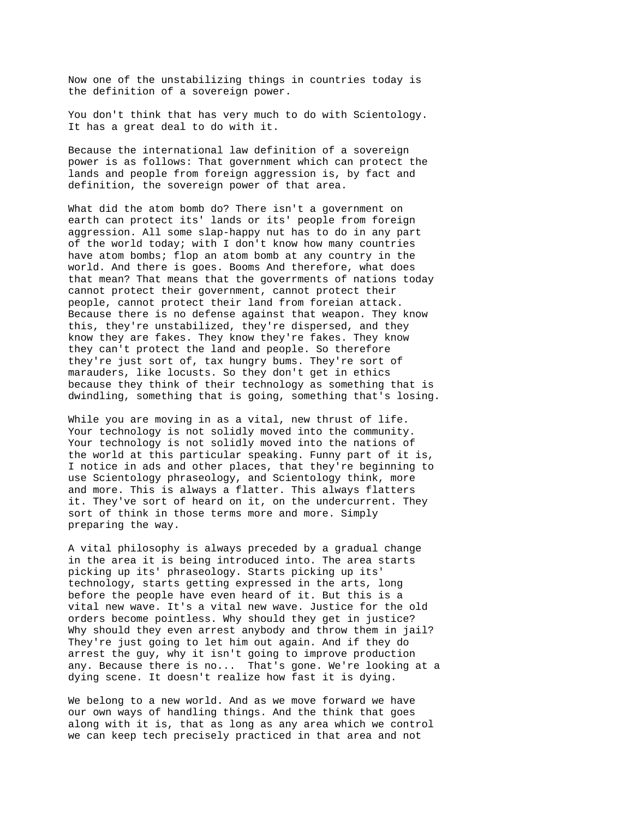Now one of the unstabilizing things in countries today is the definition of a sovereign power.

You don't think that has very much to do with Scientology. It has a great deal to do with it.

Because the international law definition of a sovereign power is as follows: That government which can protect the lands and people from foreign aggression is, by fact and definition, the sovereign power of that area.

What did the atom bomb do? There isn't a government on earth can protect its' lands or its' people from foreign aggression. All some slap-happy nut has to do in any part of the world today; with I don't know how many countries have atom bombs; flop an atom bomb at any country in the world. And there is goes. Booms And therefore, what does that mean? That means that the goverrments of nations today cannot protect their government, cannot protect their people, cannot protect their land from foreian attack. Because there is no defense against that weapon. They know this, they're unstabilized, they're dispersed, and they know they are fakes. They know they're fakes. They know they can't protect the land and people. So therefore they're just sort of, tax hungry bums. They're sort of marauders, like locusts. So they don't get in ethics because they think of their technology as something that is dwindling, something that is going, something that's losing.

While you are moving in as a vital, new thrust of life. Your technology is not solidly moved into the community. Your technology is not solidly moved into the nations of the world at this particular speaking. Funny part of it is, I notice in ads and other places, that they're beginning to use Scientology phraseology, and Scientology think, more and more. This is always a flatter. This always flatters it. They've sort of heard on it, on the undercurrent. They sort of think in those terms more and more. Simply preparing the way.

A vital philosophy is always preceded by a gradual change in the area it is being introduced into. The area starts picking up its' phraseology. Starts picking up its' technology, starts getting expressed in the arts, long before the people have even heard of it. But this is a vital new wave. It's a vital new wave. Justice for the old orders become pointless. Why should they get in justice? Why should they even arrest anybody and throw them in jail? They're just going to let him out again. And if they do arrest the guy, why it isn't going to improve production any. Because there is no... That's gone. We're looking at a dying scene. It doesn't realize how fast it is dying.

We belong to a new world. And as we move forward we have our own ways of handling things. And the think that goes along with it is, that as long as any area which we control we can keep tech precisely practiced in that area and not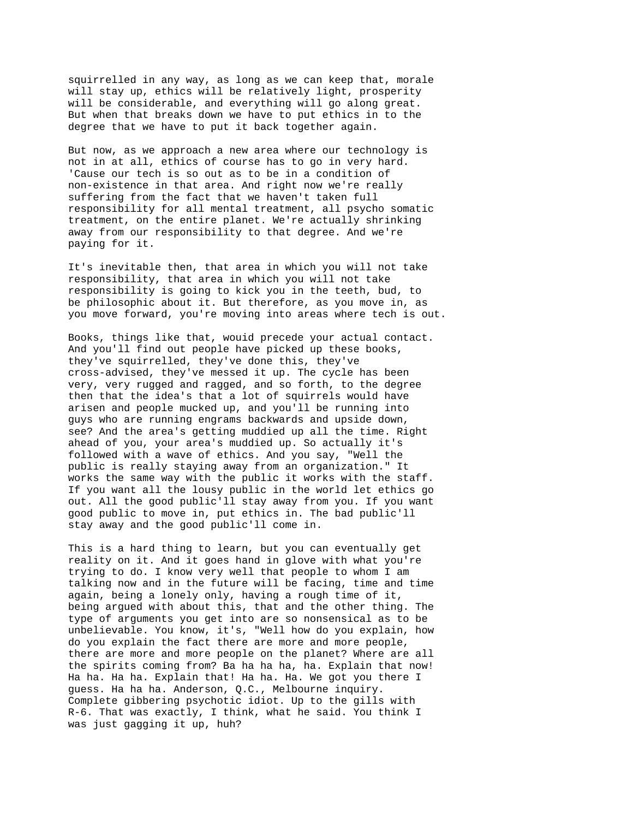squirrelled in any way, as long as we can keep that, morale will stay up, ethics will be relatively light, prosperity will be considerable, and everything will go along great. But when that breaks down we have to put ethics in to the degree that we have to put it back together again.

But now, as we approach a new area where our technology is not in at all, ethics of course has to go in very hard. 'Cause our tech is so out as to be in a condition of non-existence in that area. And right now we're really suffering from the fact that we haven't taken full responsibility for all mental treatment, all psycho somatic treatment, on the entire planet. We're actually shrinking away from our responsibility to that degree. And we're paying for it.

It's inevitable then, that area in which you will not take responsibility, that area in which you will not take responsibility is going to kick you in the teeth, bud, to be philosophic about it. But therefore, as you move in, as you move forward, you're moving into areas where tech is out.

Books, things like that, wouid precede your actual contact. And you'll find out people have picked up these books, they've squirrelled, they've done this, they've cross-advised, they've messed it up. The cycle has been very, very rugged and ragged, and so forth, to the degree then that the idea's that a lot of squirrels would have arisen and people mucked up, and you'll be running into guys who are running engrams backwards and upside down, see? And the area's getting muddied up all the time. Right ahead of you, your area's muddied up. So actually it's followed with a wave of ethics. And you say, "Well the public is really staying away from an organization." It works the same way with the public it works with the staff. If you want all the lousy public in the world let ethics go out. All the good public'll stay away from you. If you want good public to move in, put ethics in. The bad public'll stay away and the good public'll come in.

This is a hard thing to learn, but you can eventually get reality on it. And it goes hand in glove with what you're trying to do. I know very well that people to whom I am talking now and in the future will be facing, time and time again, being a lonely only, having a rough time of it, being argued with about this, that and the other thing. The type of arguments you get into are so nonsensical as to be unbelievable. You know, it's, "Well how do you explain, how do you explain the fact there are more and more people, there are more and more people on the planet? Where are all the spirits coming from? Ba ha ha ha, ha. Explain that now! Ha ha. Ha ha. Explain that! Ha ha. Ha. We got you there I guess. Ha ha ha. Anderson, Q.C., Melbourne inquiry. Complete gibbering psychotic idiot. Up to the gills with R-6. That was exactly, I think, what he said. You think I was just gagging it up, huh?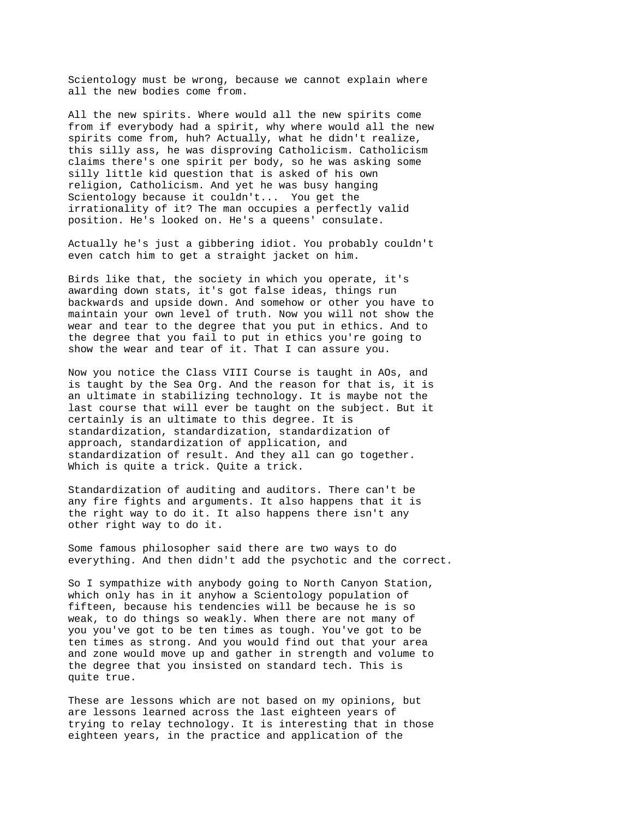Scientology must be wrong, because we cannot explain where all the new bodies come from.

All the new spirits. Where would all the new spirits come from if everybody had a spirit, why where would all the new spirits come from, huh? Actually, what he didn't realize, this silly ass, he was disproving Catholicism. Catholicism claims there's one spirit per body, so he was asking some silly little kid question that is asked of his own religion, Catholicism. And yet he was busy hanging Scientology because it couldn't... You get the irrationality of it? The man occupies a perfectly valid position. He's looked on. He's a queens' consulate.

Actually he's just a gibbering idiot. You probably couldn't even catch him to get a straight jacket on him.

Birds like that, the society in which you operate, it's awarding down stats, it's got false ideas, things run backwards and upside down. And somehow or other you have to maintain your own level of truth. Now you will not show the wear and tear to the degree that you put in ethics. And to the degree that you fail to put in ethics you're going to show the wear and tear of it. That I can assure you.

Now you notice the Class VIII Course is taught in AOs, and is taught by the Sea Org. And the reason for that is, it is an ultimate in stabilizing technology. It is maybe not the last course that will ever be taught on the subject. But it certainly is an ultimate to this degree. It is standardization, standardization, standardization of approach, standardization of application, and standardization of result. And they all can go together. Which is quite a trick. Quite a trick.

Standardization of auditing and auditors. There can't be any fire fights and arguments. It also happens that it is the right way to do it. It also happens there isn't any other right way to do it.

Some famous philosopher said there are two ways to do everything. And then didn't add the psychotic and the correct.

So I sympathize with anybody going to North Canyon Station, which only has in it anyhow a Scientology population of fifteen, because his tendencies will be because he is so weak, to do things so weakly. When there are not many of you you've got to be ten times as tough. You've got to be ten times as strong. And you would find out that your area and zone would move up and gather in strength and volume to the degree that you insisted on standard tech. This is quite true.

These are lessons which are not based on my opinions, but are lessons learned across the last eighteen years of trying to relay technology. It is interesting that in those eighteen years, in the practice and application of the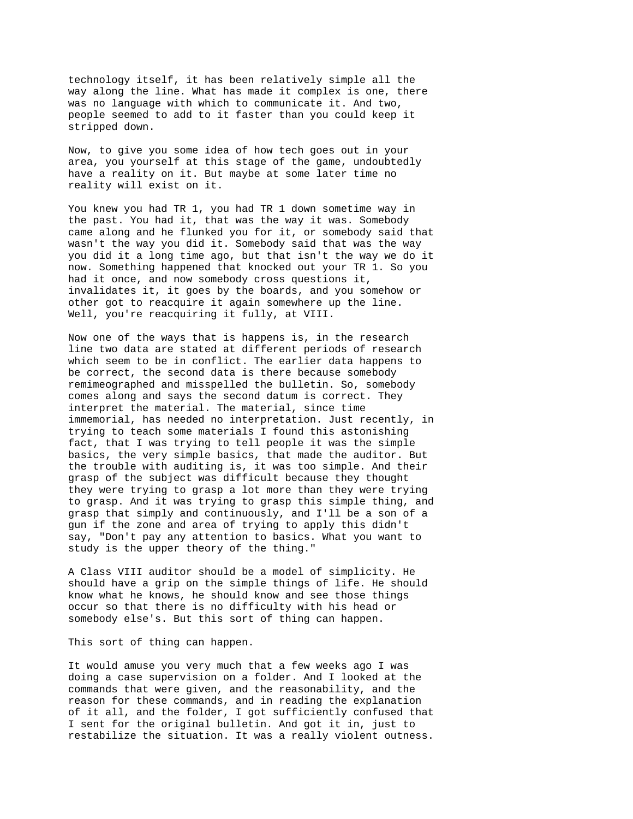technology itself, it has been relatively simple all the way along the line. What has made it complex is one, there was no language with which to communicate it. And two, people seemed to add to it faster than you could keep it stripped down.

Now, to give you some idea of how tech goes out in your area, you yourself at this stage of the game, undoubtedly have a reality on it. But maybe at some later time no reality will exist on it.

You knew you had TR 1, you had TR 1 down sometime way in the past. You had it, that was the way it was. Somebody came along and he flunked you for it, or somebody said that wasn't the way you did it. Somebody said that was the way you did it a long time ago, but that isn't the way we do it now. Something happened that knocked out your TR 1. So you had it once, and now somebody cross questions it, invalidates it, it goes by the boards, and you somehow or other got to reacquire it again somewhere up the line. Well, you're reacquiring it fully, at VIII.

Now one of the ways that is happens is, in the research line two data are stated at different periods of research which seem to be in conflict. The earlier data happens to be correct, the second data is there because somebody remimeographed and misspelled the bulletin. So, somebody comes along and says the second datum is correct. They interpret the material. The material, since time immemorial, has needed no interpretation. Just recently, in trying to teach some materials I found this astonishing fact, that I was trying to tell people it was the simple basics, the very simple basics, that made the auditor. But the trouble with auditing is, it was too simple. And their grasp of the subject was difficult because they thought they were trying to grasp a lot more than they were trying to grasp. And it was trying to grasp this simple thing, and grasp that simply and continuously, and I'll be a son of a gun if the zone and area of trying to apply this didn't say, "Don't pay any attention to basics. What you want to study is the upper theory of the thing."

A Class VIII auditor should be a model of simplicity. He should have a grip on the simple things of life. He should know what he knows, he should know and see those things occur so that there is no difficulty with his head or somebody else's. But this sort of thing can happen.

This sort of thing can happen.

It would amuse you very much that a few weeks ago I was doing a case supervision on a folder. And I looked at the commands that were given, and the reasonability, and the reason for these commands, and in reading the explanation of it all, and the folder, I got sufficiently confused that I sent for the original bulletin. And got it in, just to restabilize the situation. It was a really violent outness.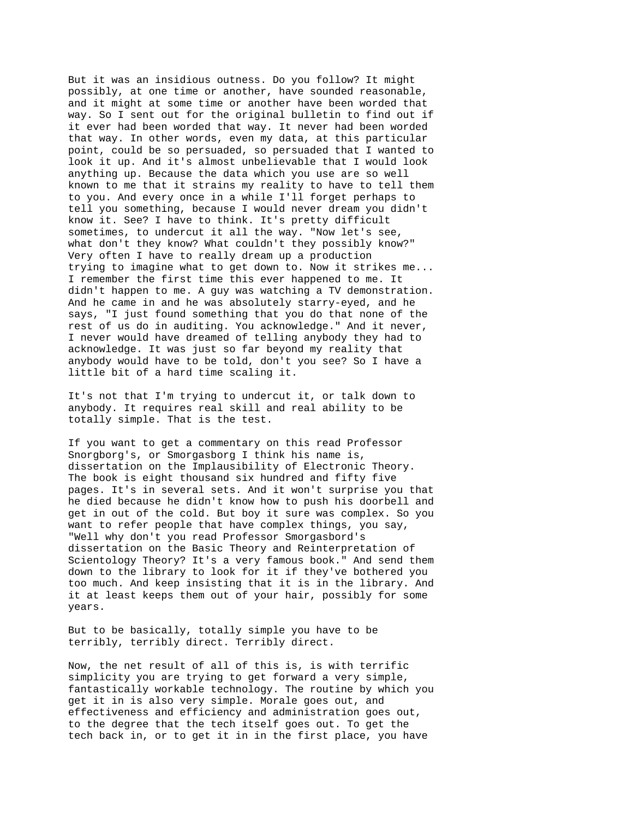But it was an insidious outness. Do you follow? It might possibly, at one time or another, have sounded reasonable, and it might at some time or another have been worded that way. So I sent out for the original bulletin to find out if it ever had been worded that way. It never had been worded that way. In other words, even my data, at this particular point, could be so persuaded, so persuaded that I wanted to look it up. And it's almost unbelievable that I would look anything up. Because the data which you use are so well known to me that it strains my reality to have to tell them to you. And every once in a while I'll forget perhaps to tell you something, because I would never dream you didn't know it. See? I have to think. It's pretty difficult sometimes, to undercut it all the way. "Now let's see, what don't they know? What couldn't they possibly know?" Very often I have to really dream up a production trying to imagine what to get down to. Now it strikes me... I remember the first time this ever happened to me. It didn't happen to me. A guy was watching a TV demonstration. And he came in and he was absolutely starry-eyed, and he says, "I just found something that you do that none of the rest of us do in auditing. You acknowledge." And it never, I never would have dreamed of telling anybody they had to acknowledge. It was just so far beyond my reality that anybody would have to be told, don't you see? So I have a little bit of a hard time scaling it.

It's not that I'm trying to undercut it, or talk down to anybody. It requires real skill and real ability to be totally simple. That is the test.

If you want to get a commentary on this read Professor Snorgborg's, or Smorgasborg I think his name is, dissertation on the Implausibility of Electronic Theory. The book is eight thousand six hundred and fifty five pages. It's in several sets. And it won't surprise you that he died because he didn't know how to push his doorbell and get in out of the cold. But boy it sure was complex. So you want to refer people that have complex things, you say, "Well why don't you read Professor Smorgasbord's dissertation on the Basic Theory and Reinterpretation of Scientology Theory? It's a very famous book." And send them down to the library to look for it if they've bothered you too much. And keep insisting that it is in the library. And it at least keeps them out of your hair, possibly for some years.

But to be basically, totally simple you have to be terribly, terribly direct. Terribly direct.

Now, the net result of all of this is, is with terrific simplicity you are trying to get forward a very simple, fantastically workable technology. The routine by which you get it in is also very simple. Morale goes out, and effectiveness and efficiency and administration goes out, to the degree that the tech itself goes out. To get the tech back in, or to get it in in the first place, you have